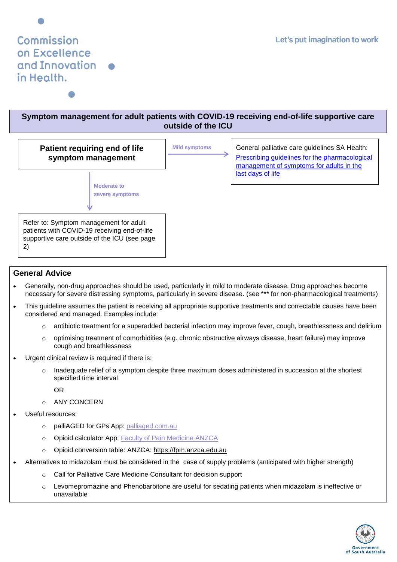## Commission on Excellence and Innovation in Health.

## **Symptom management for adult patients with COVID-19 receiving end-of-life supportive care outside of the ICU**



## **General Advice**

- Generally, non-drug approaches should be used, particularly in mild to moderate disease. Drug approaches become necessary for severe distressing symptoms, particularly in severe disease. (see \*\*\* for non-pharmacological treatments)
- This guideline assumes the patient is receiving all appropriate supportive treatments and correctable causes have been considered and managed. Examples include:
	- $\circ$  antibiotic treatment for a superadded bacterial infection may improve fever, cough, breathlessness and delirium
	- $\circ$  optimising treatment of comorbidities (e.g. chronic obstructive airways disease, heart failure) may improve cough and breathlessness
- Urgent clinical review is required if there is:
	- $\circ$  Inadequate relief of a symptom despite three maximum doses administered in succession at the shortest specified time interval

OR

- o ANY CONCERN
- Useful resources:
	- o palliAGED for GPs App: [palliaged.com.au](file:///C:/Users/rraman01/AppData/Local/Microsoft/Windows/INetCache/Content.Outlook/OPNNT2RQ/palliaged.com.au)
	- o Opioid calculator App: [Faculty of Pain Medicine ANZCA](http://fpm.anzca.edu.au/documents/opioid_calculator_app.pdf)
	- o Opioid conversion table: ANZCA: [https://fpm.anzca.edu.au](http://fpm.anzca.edu.au/)
- Alternatives to midazolam must be considered in the case of supply problems (anticipated with higher strength)
	- o Call for Palliative Care Medicine Consultant for decision support
	- o Levomepromazine and Phenobarbitone are useful for sedating patients when midazolam is ineffective or unavailable